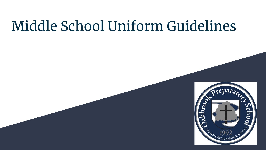# Middle School Uniform Guidelines

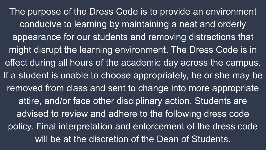The purpose of the Dress Code is to provide an environment conducive to learning by maintaining a neat and orderly appearance for our students and removing distractions that might disrupt the learning environment. The Dress Code is in effect during all hours of the academic day across the campus. If a student is unable to choose appropriately, he or she may be removed from class and sent to change into more appropriate attire, and/or face other disciplinary action. Students are advised to review and adhere to the following dress code policy. Final interpretation and enforcement of the dress code will be at the discretion of the Dean of Students.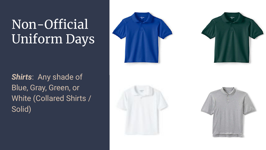## Non-Official Uniform Days

*Shirts*: Any shade of Blue, Gray, Green, or White (Collared Shirts / Solid)

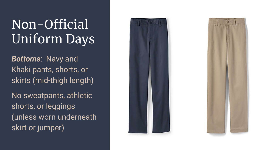## Non-Official Uniform Days

*Bottoms*: Navy and Khaki pants, shorts, or skirts (mid-thigh length)

No sweatpants, athletic shorts, or leggings (unless worn underneath skirt or jumper)



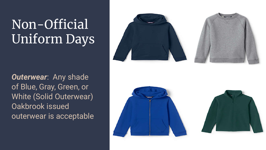## Non-Official Uniform Days



*Outerwear*: Any shade of Blue, Gray, Green, or White (Solid Outerwear) Oakbrook issued outerwear is acceptable



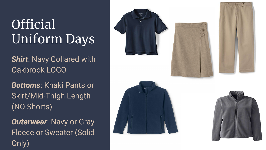## **Official** Uniform Days

**Shirt: Navy Collared with** Oakbrook LOGO

*Bottoms*: Khaki Pants or Skirt/Mid-Thigh Length (NO Shorts)

*Outerwear*: Navy or Gray Fleece or Sweater (Solid Only)









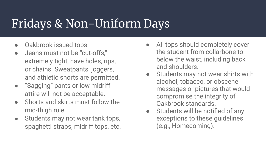#### Fridays & Non-Uniform Days

- Oakbrook issued tops
- Jeans must not be "cut-offs," extremely tight, have holes, rips, or chains. Sweatpants, joggers, and athletic shorts are permitted.
- "Sagging" pants or low midriff attire will not be acceptable.
- Shorts and skirts must follow the mid-thigh rule.
- Students may not wear tank tops, spaghetti straps, midriff tops, etc.
- All tops should completely cover the student from collarbone to below the waist, including back and shoulders.
- Students may not wear shirts with alcohol, tobacco, or obscene messages or pictures that would compromise the integrity of Oakbrook standards.
- Students will be notified of any exceptions to these guidelines (e.g., Homecoming).